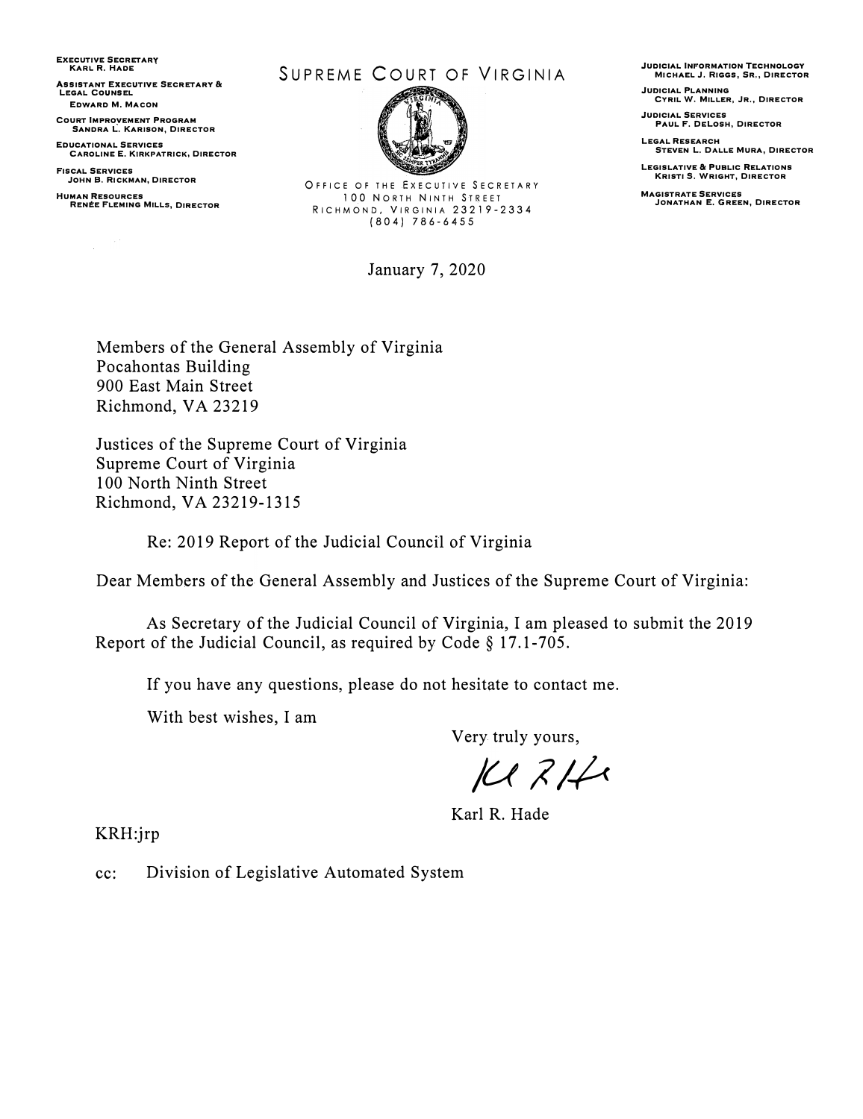EXECUTIVE SECRETARY KARL R. HADE

**ASSISTANT EXECUTIVE SECRETARY &** LEGAL COUNSEL EDWARD M. MACDN

COURT IMPROVEMENT PROGRAM SANDRA L. KARISON, DIRECTOR

EDUCATIONAL SERVICES **CAROLINE E. KIRKPATRICK, DIRECTOR** 

FISCAL SERVICES JOHN B, RICKMAN, DIRECTOR

HUMAN RESOURCES **RENÉE FLEMING MILLS, DIRECTOR** 

#### SUPREME COURT OF VIRGINIA



OFFICE OF THE EXECUTIVE SECRETARY 100 NORTH NINTH STREET RICHMOND, VIRGINIA 23219-2334 (804) 786-6455

January 7, 2020

JUDICIAL INFORMATION TECHNOLOGY MICHAEL J, RIGGS, SR., DIRECTOR

JUDICIAL PLANNING CYRIL W. MILLER, JR,, DIRECTOR

JUDICIAL SERVICES PAUL F. DELOSH, DIRECTOR

LEGAL RESEARCH<br>STEVEN L. DALLE MURA, DIRECTOR

LEGISLATIVE & PUBLIC RELATIONS KRISTI \$. WRIGHT, DIRECTOR

**MAGISTRATE SERVICES** JONATHAN E. GREEN, DIRECTOR

Members of the General Assembly of Virginia Pocahontas Building 900 East Main Street Richmond, VA 23219

Justices of the Supreme Court of Virginia Supreme Court of Virginia 100 North Ninth Street Richmond, VA 23219-1315

Re: 2019 Report of the Judicial Council of Virginia

Dear Members of the General Assembly and Justices of the Supreme Court of Virginia:

As Secretary of the Judicial Council of Virginia, I am pleased to submit the 2019 Report of the Judicial Council, as required by Code§ 17.1-705.

If you have any questions, please do not hesitate to contact me.

With best wishes, I am

Very truly yours,

*/U l/-?<* 

Karl R. Hade

KRH:jrp

cc: Division of Legislative Automated System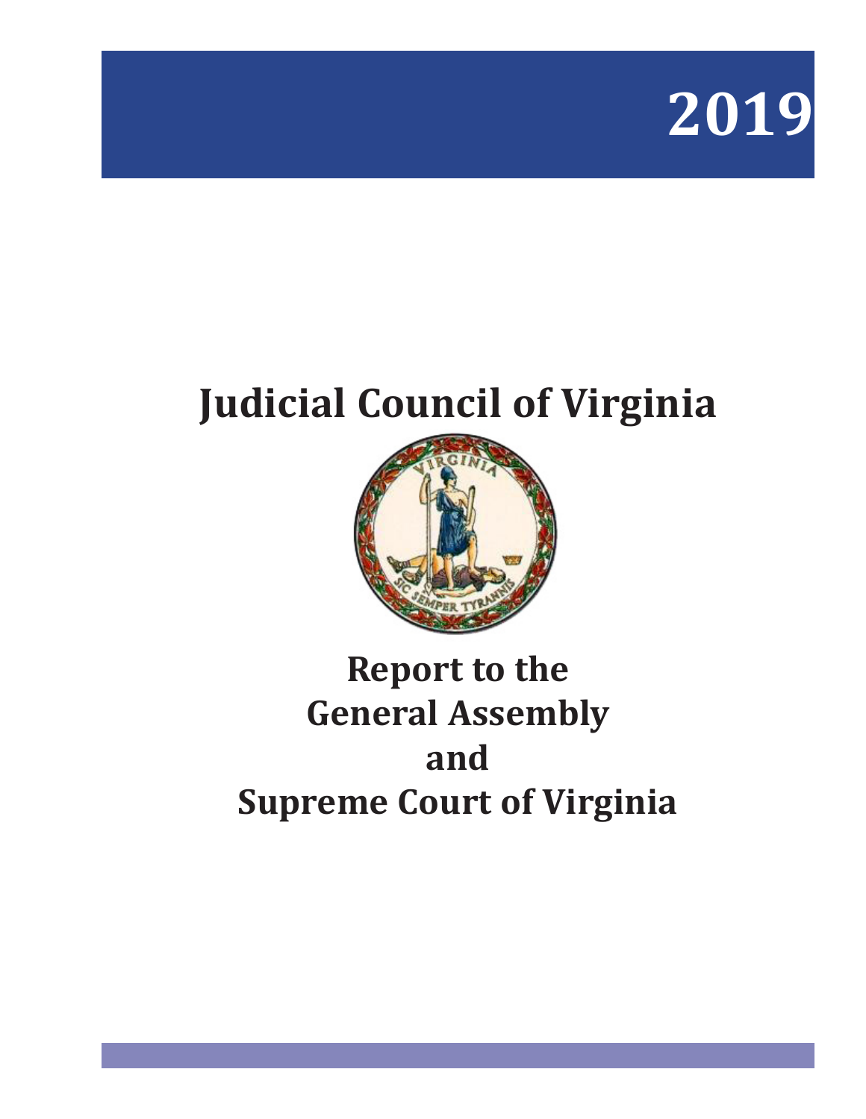

# **Judicial Council of Virginia**



# **Report to the General Assembly and Supreme Court of Virginia**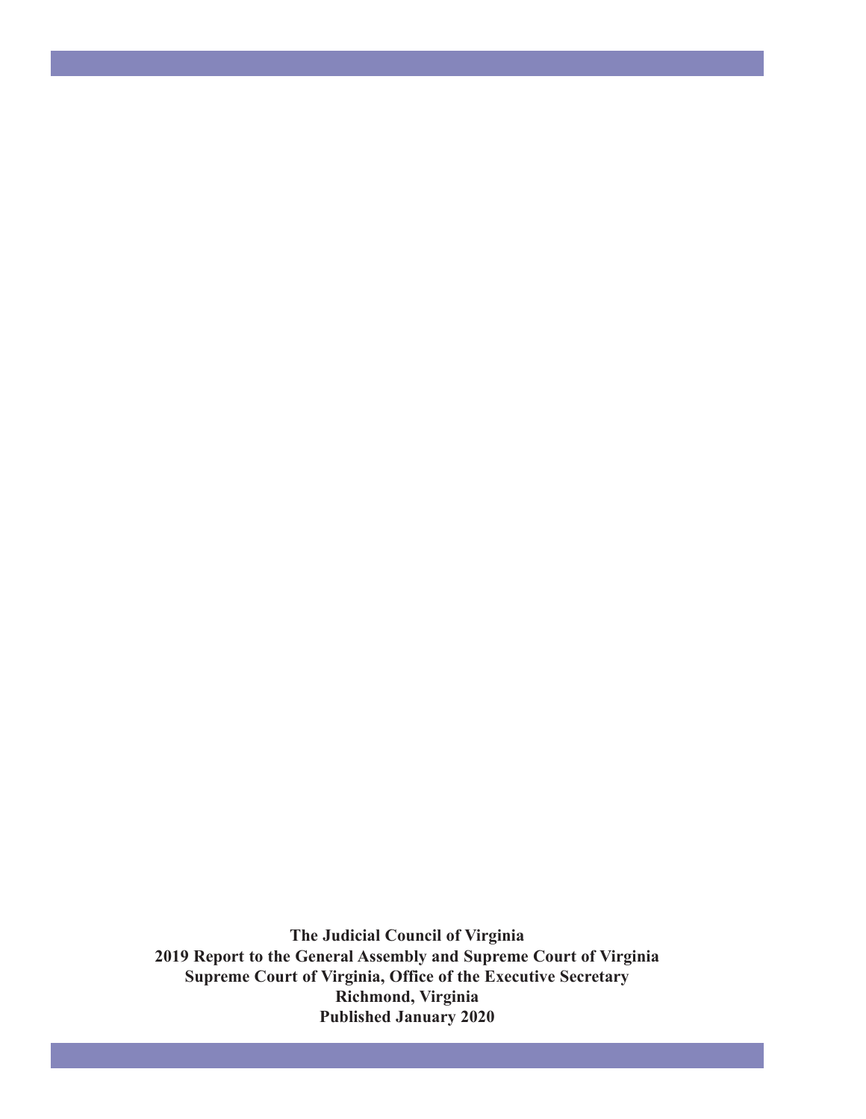**The Judicial Council of Virginia 2019 Report to the General Assembly and Supreme Court of Virginia Supreme Court of Virginia, Office of the Executive Secretary Richmond, Virginia Published January 2020**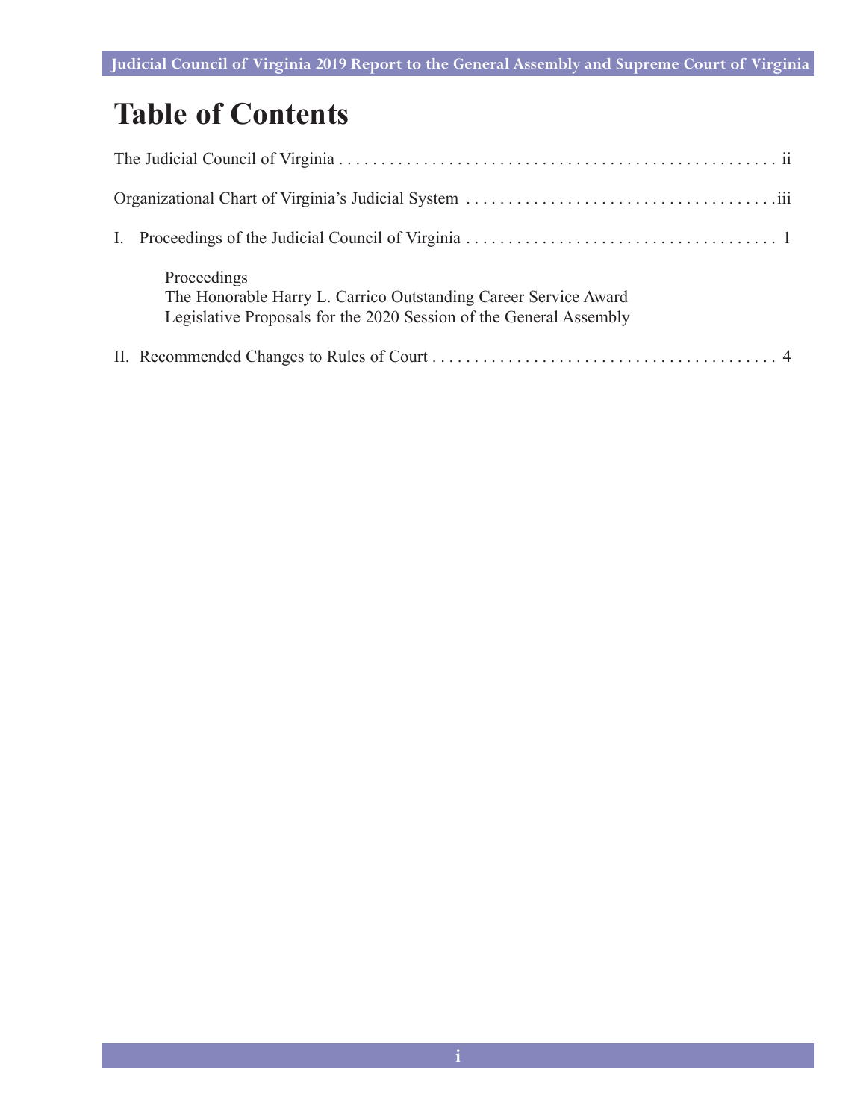## **Table of Contents**

| Proceedings<br>The Honorable Harry L. Carrico Outstanding Career Service Award<br>Legislative Proposals for the 2020 Session of the General Assembly |
|------------------------------------------------------------------------------------------------------------------------------------------------------|
|                                                                                                                                                      |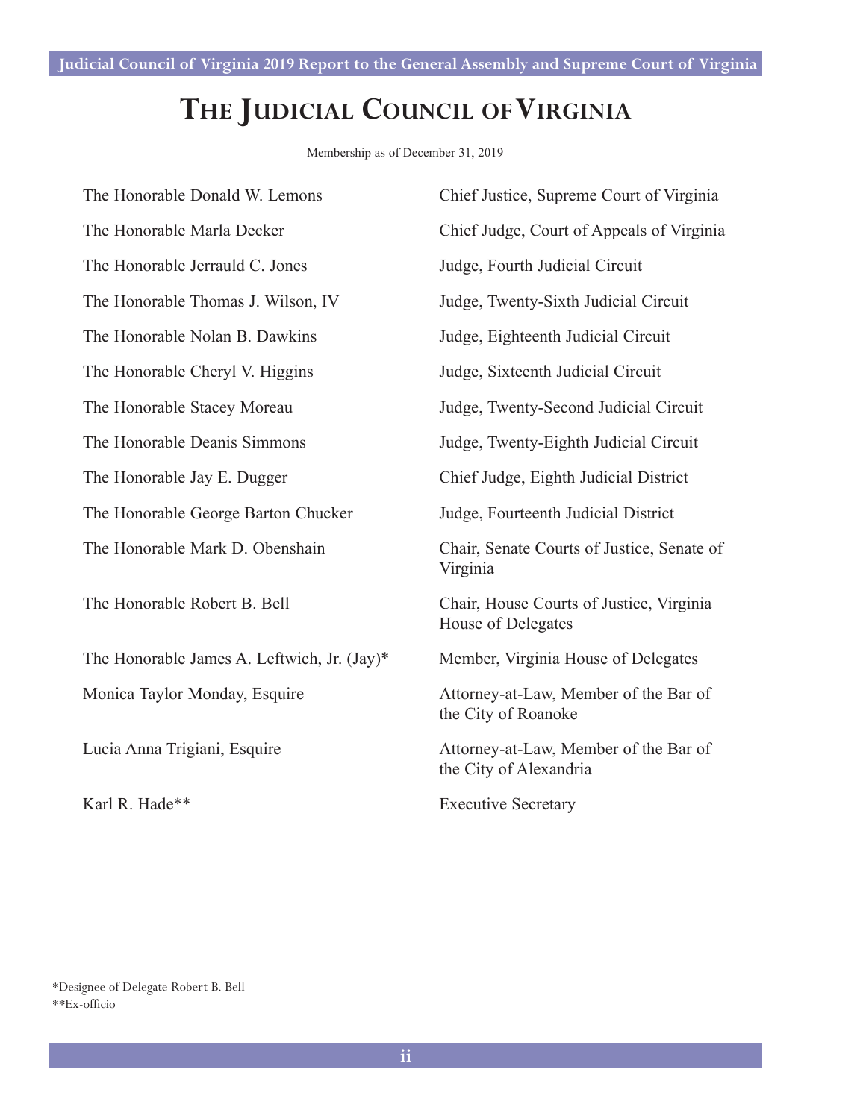### **The Judicial Council of Virginia**

Membership as of December 31, 2019

| The Honorable Donald W. Lemons              | Chief Justice, Supreme Court of Virginia                        |
|---------------------------------------------|-----------------------------------------------------------------|
| The Honorable Marla Decker                  | Chief Judge, Court of Appeals of Virginia                       |
| The Honorable Jerrauld C. Jones             | Judge, Fourth Judicial Circuit                                  |
| The Honorable Thomas J. Wilson, IV          | Judge, Twenty-Sixth Judicial Circuit                            |
| The Honorable Nolan B. Dawkins              | Judge, Eighteenth Judicial Circuit                              |
| The Honorable Cheryl V. Higgins             | Judge, Sixteenth Judicial Circuit                               |
| The Honorable Stacey Moreau                 | Judge, Twenty-Second Judicial Circuit                           |
| The Honorable Deanis Simmons                | Judge, Twenty-Eighth Judicial Circuit                           |
| The Honorable Jay E. Dugger                 | Chief Judge, Eighth Judicial District                           |
| The Honorable George Barton Chucker         | Judge, Fourteenth Judicial District                             |
| The Honorable Mark D. Obenshain             | Chair, Senate Courts of Justice, Senate of<br>Virginia          |
| The Honorable Robert B. Bell                | Chair, House Courts of Justice, Virginia<br>House of Delegates  |
| The Honorable James A. Leftwich, Jr. (Jay)* | Member, Virginia House of Delegates                             |
| Monica Taylor Monday, Esquire               | Attorney-at-Law, Member of the Bar of<br>the City of Roanoke    |
| Lucia Anna Trigiani, Esquire                | Attorney-at-Law, Member of the Bar of<br>the City of Alexandria |
| Karl R. Hade**                              | <b>Executive Secretary</b>                                      |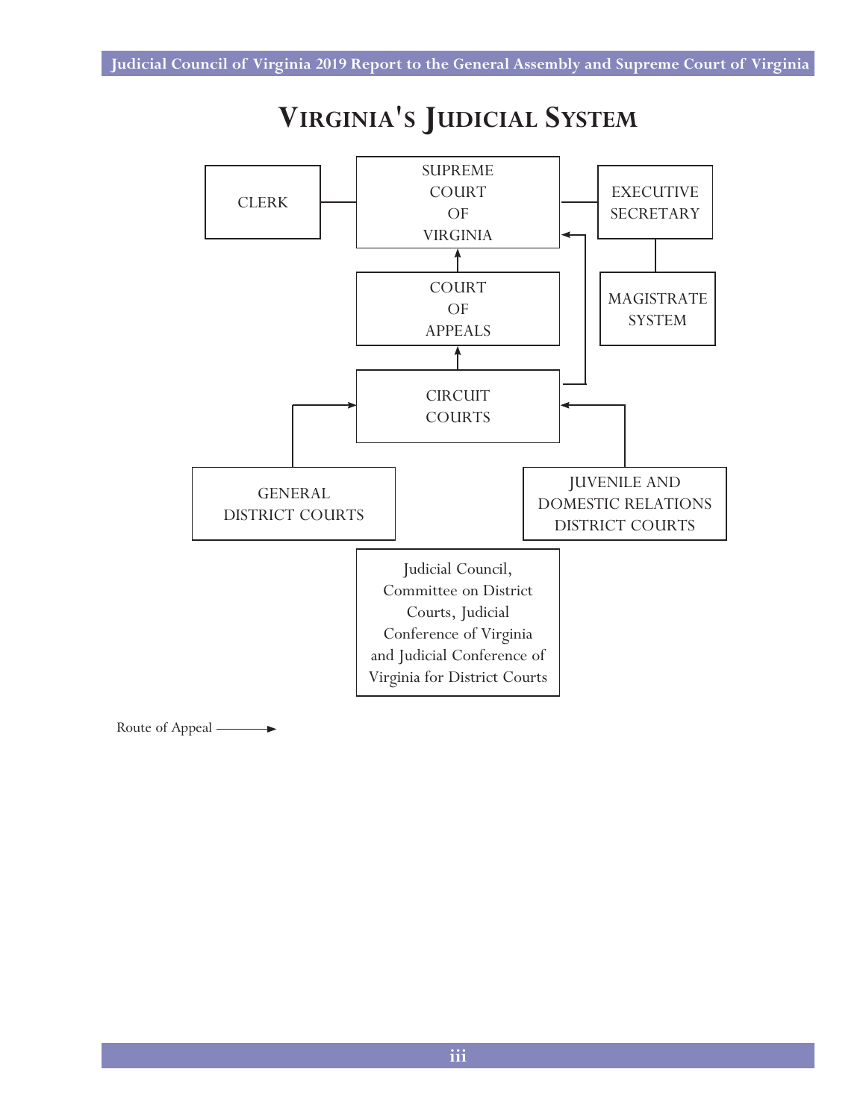### **VIRGINIA'S JUDICIAL SYSTEM** COURTS IN



 $\rightarrow$ Route of Appeal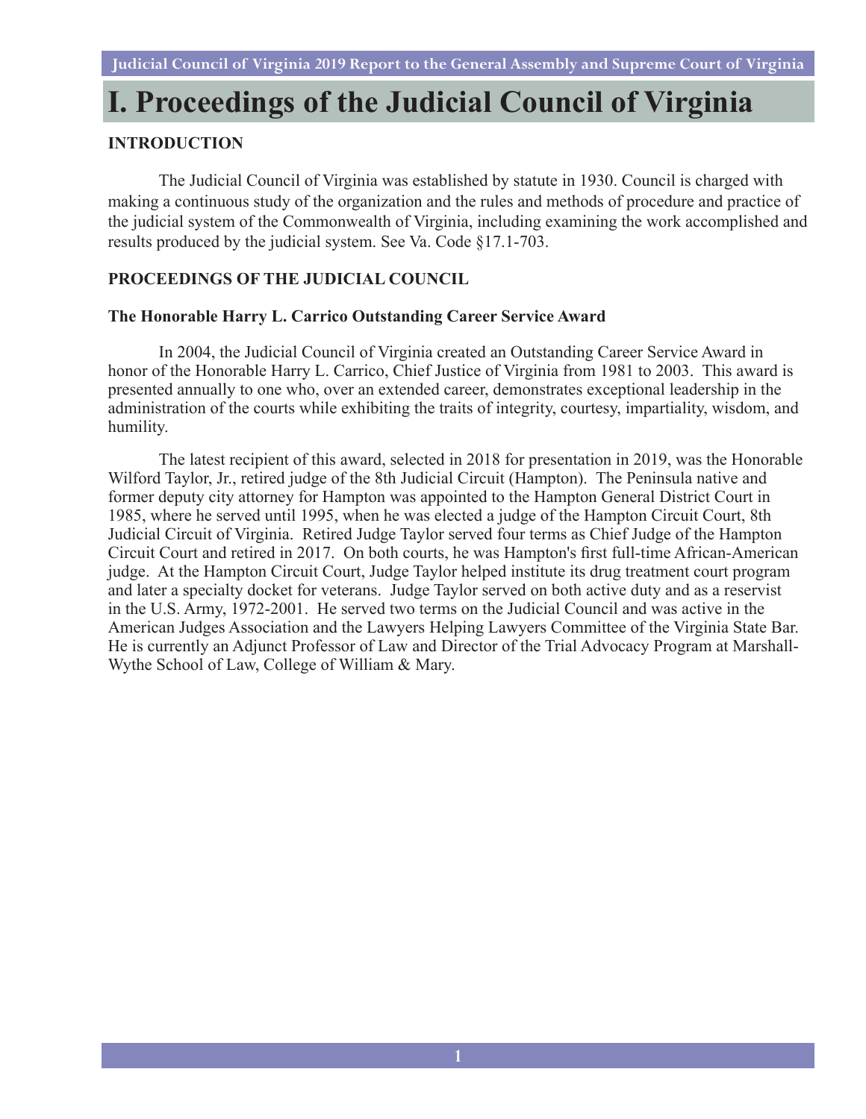## **I. Proceedings of the Judicial Council of Virginia**

#### **INTRODUCTION**

The Judicial Council of Virginia was established by statute in 1930. Council is charged with making a continuous study of the organization and the rules and methods of procedure and practice of the judicial system of the Commonwealth of Virginia, including examining the work accomplished and results produced by the judicial system. See Va. Code §17.1-703.

#### **PROCEEDINGS OF THE JUDICIAL COUNCIL**

#### **The Honorable Harry L. Carrico Outstanding Career Service Award**

In 2004, the Judicial Council of Virginia created an Outstanding Career Service Award in honor of the Honorable Harry L. Carrico, Chief Justice of Virginia from 1981 to 2003. This award is presented annually to one who, over an extended career, demonstrates exceptional leadership in the administration of the courts while exhibiting the traits of integrity, courtesy, impartiality, wisdom, and humility.

The latest recipient of this award, selected in 2018 for presentation in 2019, was the Honorable Wilford Taylor, Jr., retired judge of the 8th Judicial Circuit (Hampton). The Peninsula native and former deputy city attorney for Hampton was appointed to the Hampton General District Court in 1985, where he served until 1995, when he was elected a judge of the Hampton Circuit Court, 8th Judicial Circuit of Virginia. Retired Judge Taylor served four terms as Chief Judge of the Hampton Circuit Court and retired in 2017. On both courts, he was Hampton's first full-time African-American judge. At the Hampton Circuit Court, Judge Taylor helped institute its drug treatment court program and later a specialty docket for veterans. Judge Taylor served on both active duty and as a reservist in the U.S. Army, 1972-2001. He served two terms on the Judicial Council and was active in the American Judges Association and the Lawyers Helping Lawyers Committee of the Virginia State Bar. He is currently an Adjunct Professor of Law and Director of the Trial Advocacy Program at Marshall-Wythe School of Law, College of William & Mary.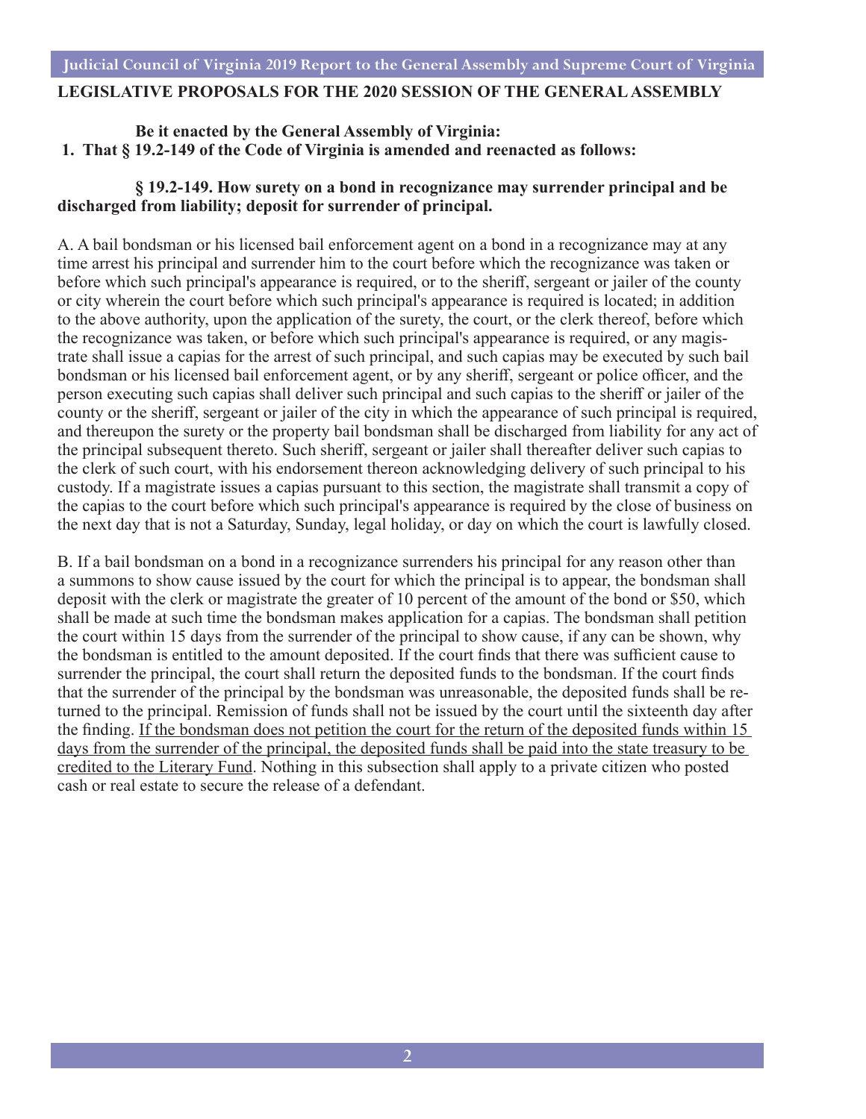#### **Judicial Council of Virginia 2019 Report to the General Assembly and Supreme Court of Virginia**

#### **LEGISLATIVE PROPOSALS FOR THE 2020 SESSION OF THE GENERAL ASSEMBLY**

#### **Be it enacted by the General Assembly of Virginia: 1. That § 19.2-149 of the Code of Virginia is amended and reenacted as follows:**

#### **§ 19.2-149. How surety on a bond in recognizance may surrender principal and be discharged from liability; deposit for surrender of principal.**

A. A bail bondsman or his licensed bail enforcement agent on a bond in a recognizance may at any time arrest his principal and surrender him to the court before which the recognizance was taken or before which such principal's appearance is required, or to the sheriff, sergeant or jailer of the county or city wherein the court before which such principal's appearance is required is located; in addition to the above authority, upon the application of the surety, the court, or the clerk thereof, before which the recognizance was taken, or before which such principal's appearance is required, or any magistrate shall issue a capias for the arrest of such principal, and such capias may be executed by such bail bondsman or his licensed bail enforcement agent, or by any sheriff, sergeant or police officer, and the person executing such capias shall deliver such principal and such capias to the sheriff or jailer of the county or the sheriff, sergeant or jailer of the city in which the appearance of such principal is required, and thereupon the surety or the property bail bondsman shall be discharged from liability for any act of the principal subsequent thereto. Such sheriff, sergeant or jailer shall thereafter deliver such capias to the clerk of such court, with his endorsement thereon acknowledging delivery of such principal to his custody. If a magistrate issues a capias pursuant to this section, the magistrate shall transmit a copy of the capias to the court before which such principal's appearance is required by the close of business on the next day that is not a Saturday, Sunday, legal holiday, or day on which the court is lawfully closed.

B. If a bail bondsman on a bond in a recognizance surrenders his principal for any reason other than a summons to show cause issued by the court for which the principal is to appear, the bondsman shall deposit with the clerk or magistrate the greater of 10 percent of the amount of the bond or \$50, which shall be made at such time the bondsman makes application for a capias. The bondsman shall petition the court within 15 days from the surrender of the principal to show cause, if any can be shown, why the bondsman is entitled to the amount deposited. If the court finds that there was sufficient cause to surrender the principal, the court shall return the deposited funds to the bondsman. If the court finds that the surrender of the principal by the bondsman was unreasonable, the deposited funds shall be returned to the principal. Remission of funds shall not be issued by the court until the sixteenth day after the finding. If the bondsman does not petition the court for the return of the deposited funds within 15 days from the surrender of the principal, the deposited funds shall be paid into the state treasury to be credited to the Literary Fund. Nothing in this subsection shall apply to a private citizen who posted cash or real estate to secure the release of a defendant.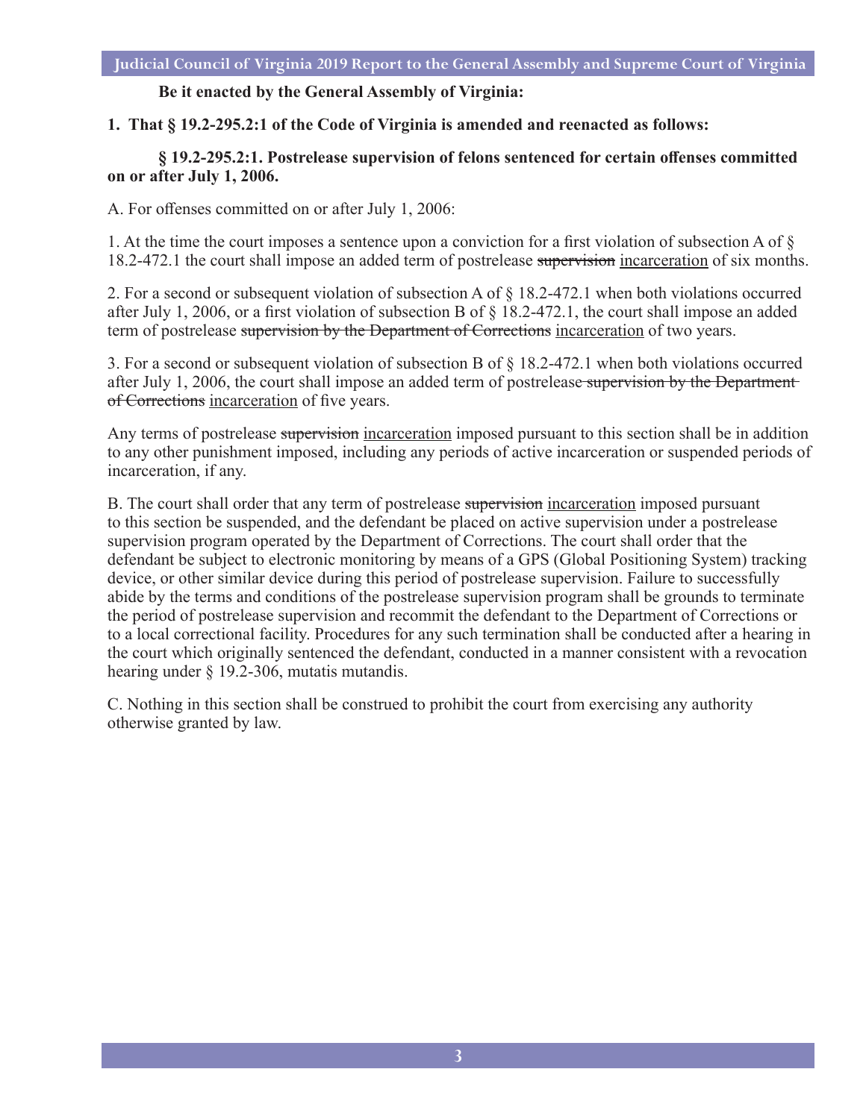#### **Be it enacted by the General Assembly of Virginia:**

**1. That § 19.2-295.2:1 of the Code of Virginia is amended and reenacted as follows:**

#### **§ 19.2-295.2:1. Postrelease supervision of felons sentenced for certain offenses committed on or after July 1, 2006.**

A. For offenses committed on or after July 1, 2006:

1. At the time the court imposes a sentence upon a conviction for a first violation of subsection A of § 18.2-472.1 the court shall impose an added term of postrelease supervision incarceration of six months.

2. For a second or subsequent violation of subsection A of § 18.2-472.1 when both violations occurred after July 1, 2006, or a first violation of subsection B of § 18.2-472.1, the court shall impose an added term of postrelease supervision by the Department of Corrections incarceration of two years.

3. For a second or subsequent violation of subsection B of § 18.2-472.1 when both violations occurred after July 1, 2006, the court shall impose an added term of postrelease supervision by the Department of Corrections incarceration of five years.

Any terms of postrelease supervision incarceration imposed pursuant to this section shall be in addition to any other punishment imposed, including any periods of active incarceration or suspended periods of incarceration, if any.

B. The court shall order that any term of postrelease supervision incarceration imposed pursuant to this section be suspended, and the defendant be placed on active supervision under a postrelease supervision program operated by the Department of Corrections. The court shall order that the defendant be subject to electronic monitoring by means of a GPS (Global Positioning System) tracking device, or other similar device during this period of postrelease supervision. Failure to successfully abide by the terms and conditions of the postrelease supervision program shall be grounds to terminate the period of postrelease supervision and recommit the defendant to the Department of Corrections or to a local correctional facility. Procedures for any such termination shall be conducted after a hearing in the court which originally sentenced the defendant, conducted in a manner consistent with a revocation hearing under § 19.2-306, mutatis mutandis.

C. Nothing in this section shall be construed to prohibit the court from exercising any authority otherwise granted by law.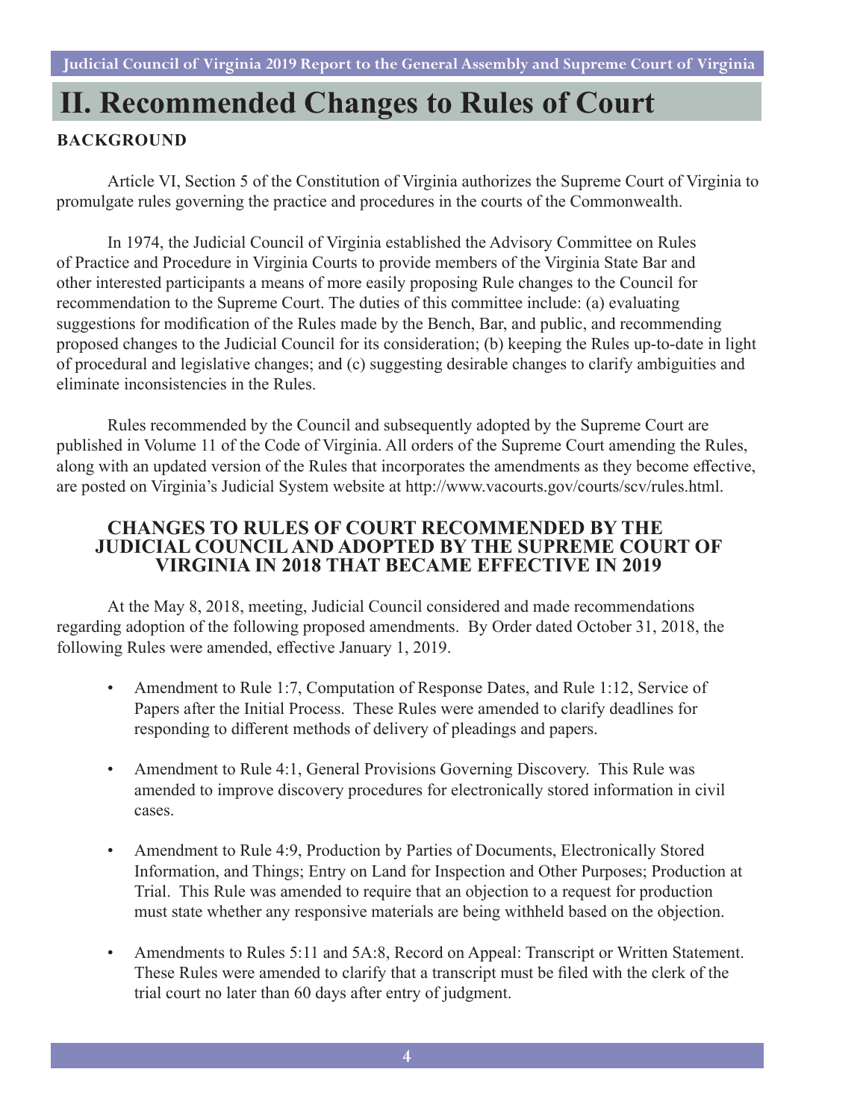### **II. Recommended Changes to Rules of Court**

#### **Background**

Article VI, Section 5 of the Constitution of Virginia authorizes the Supreme Court of Virginia to promulgate rules governing the practice and procedures in the courts of the Commonwealth.

In 1974, the Judicial Council of Virginia established the Advisory Committee on Rules of Practice and Procedure in Virginia Courts to provide members of the Virginia State Bar and other interested participants a means of more easily proposing Rule changes to the Council for recommendation to the Supreme Court. The duties of this committee include: (a) evaluating suggestions for modification of the Rules made by the Bench, Bar, and public, and recommending proposed changes to the Judicial Council for its consideration; (b) keeping the Rules up-to-date in light of procedural and legislative changes; and (c) suggesting desirable changes to clarify ambiguities and eliminate inconsistencies in the Rules.

Rules recommended by the Council and subsequently adopted by the Supreme Court are published in Volume 11 of the Code of Virginia. All orders of the Supreme Court amending the Rules, along with an updated version of the Rules that incorporates the amendments as they become effective, are posted on Virginia's Judicial System website at [http://www.vacourts.gov/courts/scv/rules.html.](http://)

#### **CHANGES TO RULES OF COURT RECOMMENDED BY THE JUDICIAL COUNCIL AND ADOPTED BY THE SUPREME COURT OF VIRGINIA IN 2018 THAT BECAME EFFECTIVE IN 2019**

At the May 8, 2018, meeting, Judicial Council considered and made recommendations regarding adoption of the following proposed amendments. By Order dated October 31, 2018, the following Rules were amended, effective January 1, 2019.

- Amendment to Rule 1:7, Computation of Response Dates, and Rule 1:12, Service of Papers after the Initial Process. These Rules were amended to clarify deadlines for responding to different methods of delivery of pleadings and papers.
- Amendment to Rule 4:1, General Provisions Governing Discovery. This Rule was amended to improve discovery procedures for electronically stored information in civil cases.
- Amendment to Rule 4:9, Production by Parties of Documents, Electronically Stored Information, and Things; Entry on Land for Inspection and Other Purposes; Production at Trial. This Rule was amended to require that an objection to a request for production must state whether any responsive materials are being withheld based on the objection.
- Amendments to Rules 5:11 and 5A:8, Record on Appeal: Transcript or Written Statement. These Rules were amended to clarify that a transcript must be filed with the clerk of the trial court no later than 60 days after entry of judgment.